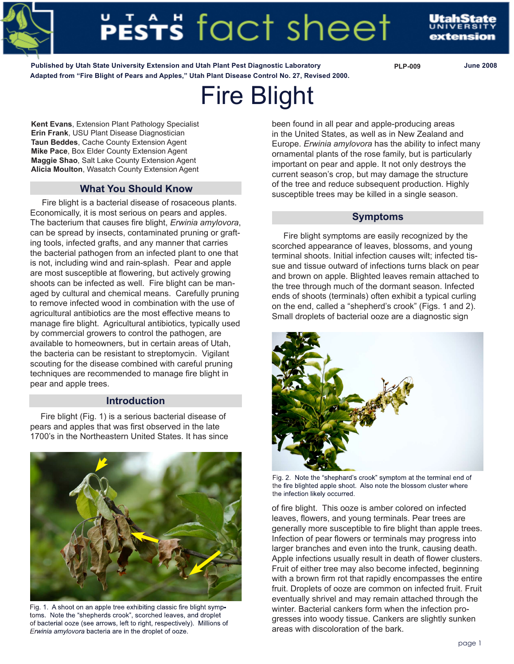

# **ESTS** FACT SNeet

**Published by Utah State University Extension and Utah Plant Pest Diagnostic Laboratory PLP-009 June 2008 Adapted from "Fire Blight of Pears and Apples," Utah Plant Disease Control No. 27, Revised 2000.**

# Fire Blight

**Kent Evans**, Extension Plant Pathology Specialist **Erin Frank**, USU Plant Disease Diagnostician **Taun Beddes**, Cache County Extension Agent **Mike Pace**, Box Elder County Extension Agent **Maggie Shao**, Salt Lake County Extension Agent **Alicia Moulton**, Wasatch County Extension Agent

# **What You Should Know**

 Fire blight is a bacterial disease of rosaceous plants. Economically, it is most serious on pears and apples. The bacterium that causes fire blight, *Erwinia amylovora*, can be spread by insects, contaminated pruning or grafting tools, infected grafts, and any manner that carries the bacterial pathogen from an infected plant to one that is not, including wind and rain-splash. Pear and apple are most susceptible at flowering, but actively growing shoots can be infected as well. Fire blight can be managed by cultural and chemical means. Carefully pruning to remove infected wood in combination with the use of agricultural antibiotics are the most effective means to manage fire blight. Agricultural antibiotics, typically used by commercial growers to control the pathogen, are available to homeowners, but in certain areas of Utah, the bacteria can be resistant to streptomycin. Vigilant scouting for the disease combined with careful pruning techniques are recommended to manage fire blight in pear and apple trees.

# **Introduction**

 Fire blight (Fig. 1) is a serious bacterial disease of pears and apples that was first observed in the late 1700's in the Northeastern United States. It has since



Fig. 1. A shoot on an apple tree exhibiting classic fire blight symptoms. Note the "shepherds crook", scorched leaves, and droplet of bacterial ooze (see arrows, left to right, respectively). Millions of *Erwinia amylovora* bacteria are in the droplet of ooze.

been found in all pear and apple-producing areas in the United States, as well as in New Zealand and Europe. *Erwinia amylovora* has the ability to infect many ornamental plants of the rose family, but is particularly important on pear and apple. It not only destroys the current season's crop, but may damage the structure of the tree and reduce subsequent production. Highly susceptible trees may be killed in a single season.

## **Symptoms**

 Fire blight symptoms are easily recognized by the scorched appearance of leaves, blossoms, and young terminal shoots. Initial infection causes wilt; infected tissue and tissue outward of infections turns black on pear and brown on apple. Blighted leaves remain attached to the tree through much of the dormant season. Infected ends of shoots (terminals) often exhibit a typical curling on the end, called a "shepherd's crook" (Figs. 1 and 2). Small droplets of bacterial ooze are a diagnostic sign



Fig. 2. Note the "shephard's crook" symptom at the terminal end of the fire blighted apple shoot. Also note the blossom cluster where the infection likely occurred.

of fire blight. This ooze is amber colored on infected leaves, flowers, and young terminals. Pear trees are generally more susceptible to fire blight than apple trees. Infection of pear flowers or terminals may progress into larger branches and even into the trunk, causing death. Apple infections usually result in death of flower clusters. Fruit of either tree may also become infected, beginning with a brown firm rot that rapidly encompasses the entire fruit. Droplets of ooze are common on infected fruit. Fruit eventually shrivel and may remain attached through the winter. Bacterial cankers form when the infection progresses into woody tissue. Cankers are slightly sunken areas with discoloration of the bark.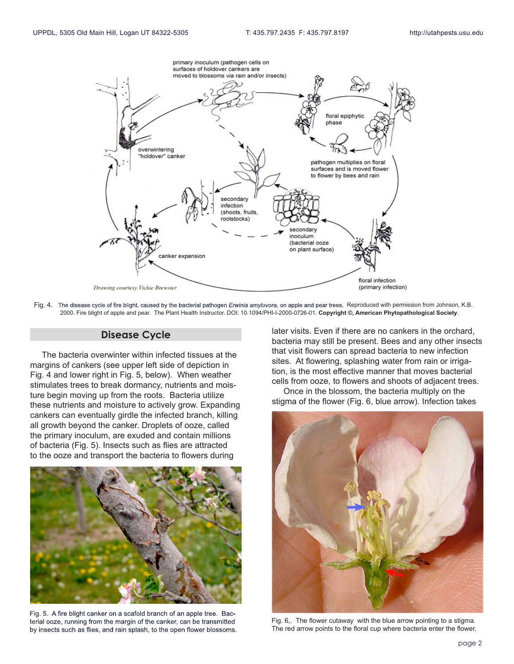

Fig. 4. The disease cycle of fire blight, caused by the bacterial pathogen *Erwinia amylovora,* on apple and pear trees. Reproduced with permission from Johnson, K.B. 2000. Fire blight of apple and pear. The Plant Health Instructor. DOI: 10.1094/PHI-I-2000-0726-01. **Copyright ©, American Phytopathological Society**.

#### **Disease Cycle**

 The bacteria overwinter within infected tissues at the margins of cankers (see upper left side of depiction in Fig. 4 and lower right in Fig. 5, below). When weather stimulates trees to break dormancy, nutrients and moisture begin moving up from the roots. Bacteria utilize these nutrients and moisture to actively grow. Expanding cankers can eventually girdle the infected branch, killing all growth beyond the canker. Droplets of ooze, called the primary inoculum, are exuded and contain millions of bacteria (Fig. 5). Insects such as flies are attracted to the ooze and transport the bacteria to flowers during



Fig. 5. A fire blight canker on a scafold branch of an apple tree. Bacterial ooze, running from the margin of the canker, can be transmitted by insects such as flies, and rain splash, to the open flower blossoms.

later visits. Even if there are no cankers in the orchard, bacteria may still be present. Bees and any other insects that visit flowers can spread bacteria to new infection sites. At flowering, splashing water from rain or irrigation, is the most effective manner that moves bacterial cells from ooze, to flowers and shoots of adjacent trees.

 Once in the blossom, the bacteria multiply on the stigma of the flower (Fig. 6, blue arrow). Infection takes



Fig. 6,. The flower cutaway with the blue arrow pointing to a stigma. The red arrow points to the floral cup where bacteria enter the flower.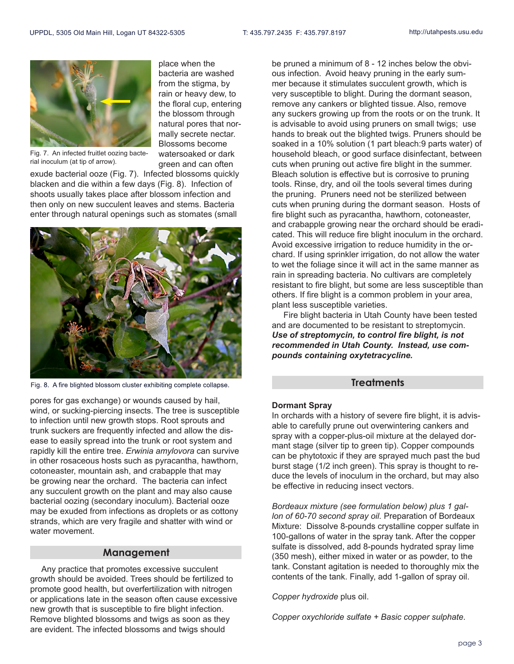

Fig. 7. An infected fruitlet oozing bacterial inoculum (at tip of arrow).

exude bacterial ooze (Fig. 7). Infected blossoms quickly blacken and die within a few days (Fig. 8). Infection of shoots usually takes place after blossom infection and then only on new succulent leaves and stems. Bacteria enter through natural openings such as stomates (small

place when the bacteria are washed from the stigma, by rain or heavy dew, to the floral cup, entering the blossom through natural pores that normally secrete nectar. Blossoms become watersoaked or dark green and can often



Fig. 8. A fire blighted blossom cluster exhibiting complete collapse.

pores for gas exchange) or wounds caused by hail, wind, or sucking-piercing insects. The tree is susceptible to infection until new growth stops. Root sprouts and trunk suckers are frequently infected and allow the disease to easily spread into the trunk or root system and rapidly kill the entire tree. *Erwinia amylovora* can survive in other rosaceous hosts such as pyracantha, hawthorn, cotoneaster, mountain ash, and crabapple that may be growing near the orchard. The bacteria can infect any succulent growth on the plant and may also cause bacterial oozing (secondary inoculum). Bacterial ooze may be exuded from infections as droplets or as cottony strands, which are very fragile and shatter with wind or water movement.

#### **Management**

 Any practice that promotes excessive succulent growth should be avoided. Trees should be fertilized to promote good health, but overfertilization with nitrogen or applications late in the season often cause excessive new growth that is susceptible to fire blight infection. Remove blighted blossoms and twigs as soon as they are evident. The infected blossoms and twigs should

be pruned a minimum of 8 - 12 inches below the obvious infection. Avoid heavy pruning in the early summer because it stimulates succulent growth, which is very susceptible to blight. During the dormant season, remove any cankers or blighted tissue. Also, remove any suckers growing up from the roots or on the trunk. It is advisable to avoid using pruners on small twigs; use hands to break out the blighted twigs. Pruners should be soaked in a 10% solution (1 part bleach:9 parts water) of household bleach, or good surface disinfectant, between cuts when pruning out active fire blight in the summer. Bleach solution is effective but is corrosive to pruning tools. Rinse, dry, and oil the tools several times during the pruning. Pruners need not be sterilized between cuts when pruning during the dormant season. Hosts of fire blight such as pyracantha, hawthorn, cotoneaster, and crabapple growing near the orchard should be eradicated. This will reduce fire blight inoculum in the orchard. Avoid excessive irrigation to reduce humidity in the orchard. If using sprinkler irrigation, do not allow the water to wet the foliage since it will act in the same manner as rain in spreading bacteria. No cultivars are completely resistant to fire blight, but some are less susceptible than others. If fire blight is a common problem in your area, plant less susceptible varieties.

 Fire blight bacteria in Utah County have been tested and are documented to be resistant to streptomycin. *Use of streptomycin, to control fire blight, is not recommended in Utah County. Instead, use compounds containing oxytetracycline.*

#### **Treatments**

#### **Dormant Spray**

In orchards with a history of severe fire blight, it is advisable to carefully prune out overwintering cankers and spray with a copper-plus-oil mixture at the delayed dormant stage (silver tip to green tip). Copper compounds can be phytotoxic if they are sprayed much past the bud burst stage (1/2 inch green). This spray is thought to reduce the levels of inoculum in the orchard, but may also be effective in reducing insect vectors.

*Bordeaux mixture (see formulation below) plus 1 gallon of 60-70 second spray oil.* Preparation of Bordeaux Mixture: Dissolve 8-pounds crystalline copper sulfate in 100-gallons of water in the spray tank. After the copper sulfate is dissolved, add 8-pounds hydrated spray lime (350 mesh), either mixed in water or as powder, to the tank. Constant agitation is needed to thoroughly mix the contents of the tank. Finally, add 1-gallon of spray oil.

#### *Copper hydroxide* plus oil.

*Copper oxychloride sulfate + Basic copper sulphate.*